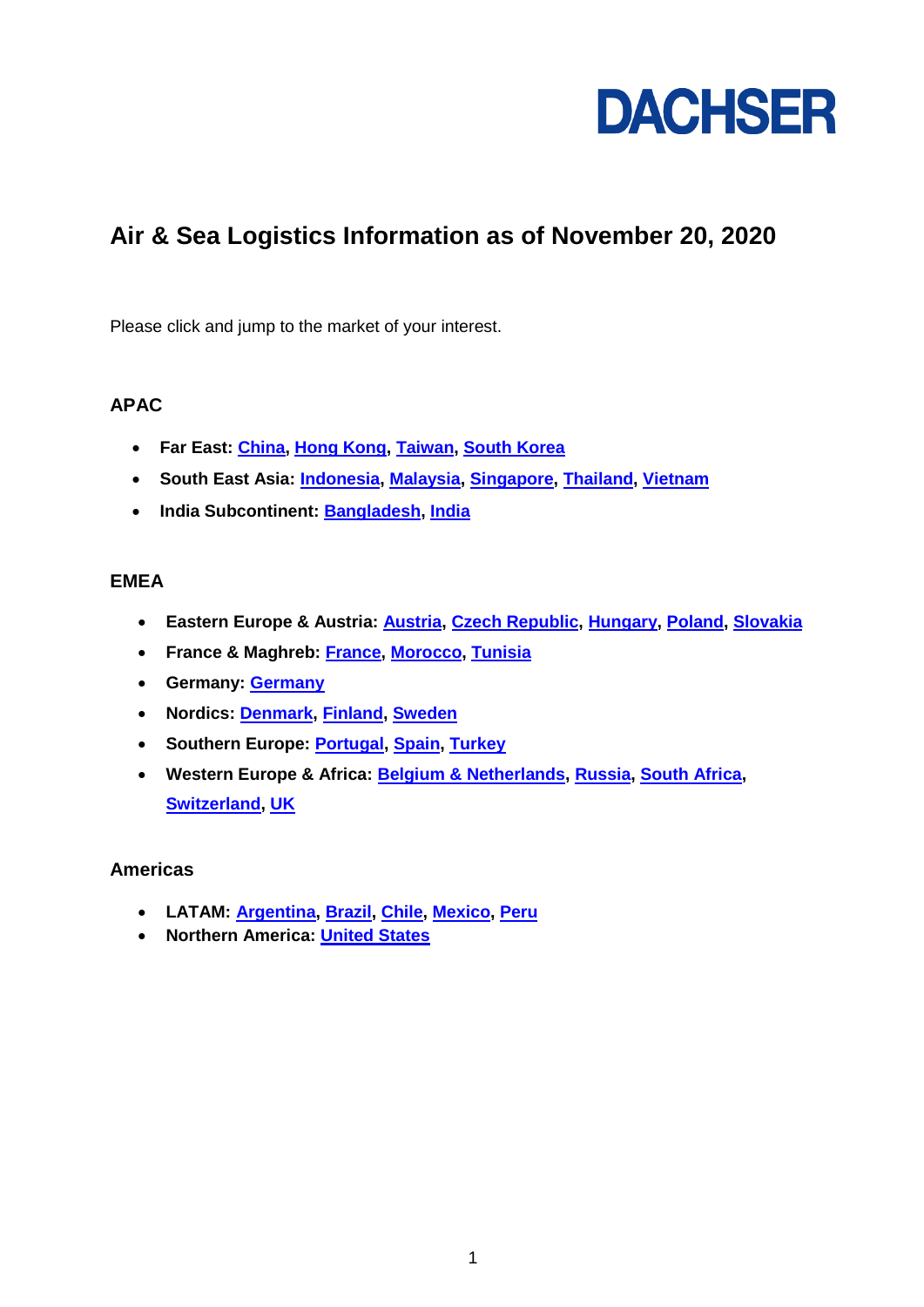

# **Air & Sea Logistics Information as of November 20, 2020**

Please click and jump to the market of your interest.

## **APAC**

- **Far East: [China,](#page-1-0) [Hong Kong,](#page-1-1) [Taiwan,](#page-1-2) [South Korea](#page-1-3)**
- **South East Asia: [Indonesia,](#page-1-4) [Malaysia,](#page-1-5) [Singapore,](#page-1-6) [Thailand,](#page-1-7) [Vietnam](#page-1-8)**
- **India Subcontinent: [Bangladesh,](#page-2-0) [India](#page-2-1)**

### **EMEA**

- **Eastern Europe & Austria: [Austria,](#page-2-2) [Czech Republic,](#page-2-3) [Hungary,](#page-2-4) [Poland,](#page-3-0) [Slovakia](#page-3-1)**
- **France & Maghreb: [France,](#page-3-2) [Morocco,](#page-3-3) [Tunisia](#page-3-4)**
- **Germany: [Germany](#page-3-5)**
- **Nordics: [Denmark,](#page-4-0) [Finland,](#page-4-1) [Sweden](#page-4-2)**
- **Southern Europe: [Portugal,](#page-4-3) [Spain,](#page-4-4) [Turkey](#page-5-0)**
- **Western Europe & Africa: [Belgium & Netherlands,](#page-5-1) [Russia,](#page-5-2) [South Africa,](#page-5-3) [Switzerland,](#page-5-4) [UK](#page-6-0)**

## **Americas**

- **LATAM: [Argentina,](#page-6-1) [Brazil,](#page-6-2) [Chile,](#page-6-3) [Mexico,](#page-6-4) [Peru](#page-6-5)**
- **Northern America: [United States](#page-6-6)**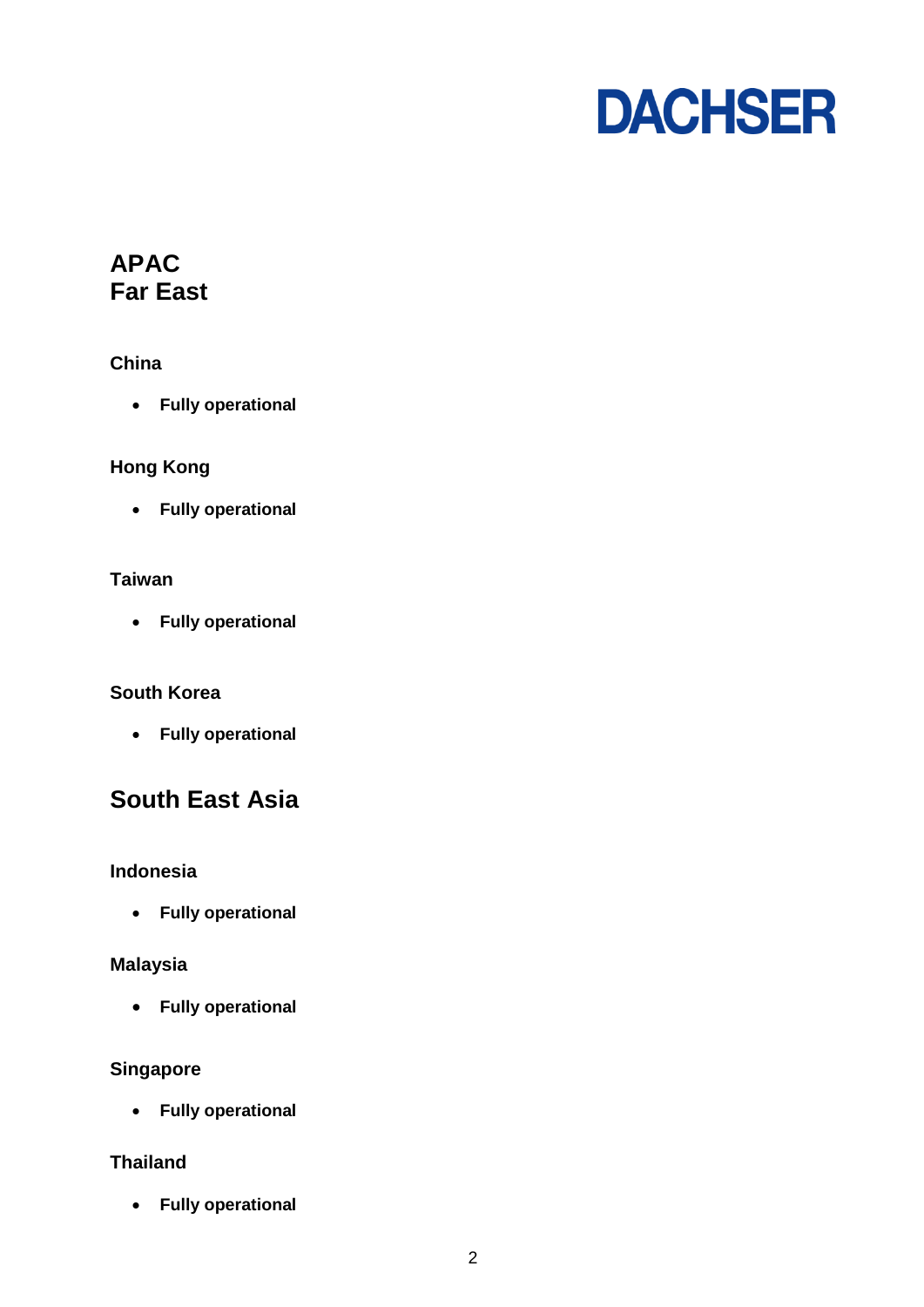

# **APAC Far East**

## <span id="page-1-0"></span>**China**

**Fully operational**

## <span id="page-1-1"></span>**Hong Kong**

**Fully operational**

## <span id="page-1-2"></span>**Taiwan**

**Fully operational**

## <span id="page-1-3"></span>**South Korea**

**Fully operational**

# **South East Asia**

## <span id="page-1-4"></span>**Indonesia**

**Fully operational**

## <span id="page-1-5"></span>**Malaysia**

**Fully operational**

## <span id="page-1-6"></span>**Singapore**

**Fully operational**

## <span id="page-1-7"></span>**Thailand**

<span id="page-1-8"></span>**Fully operational**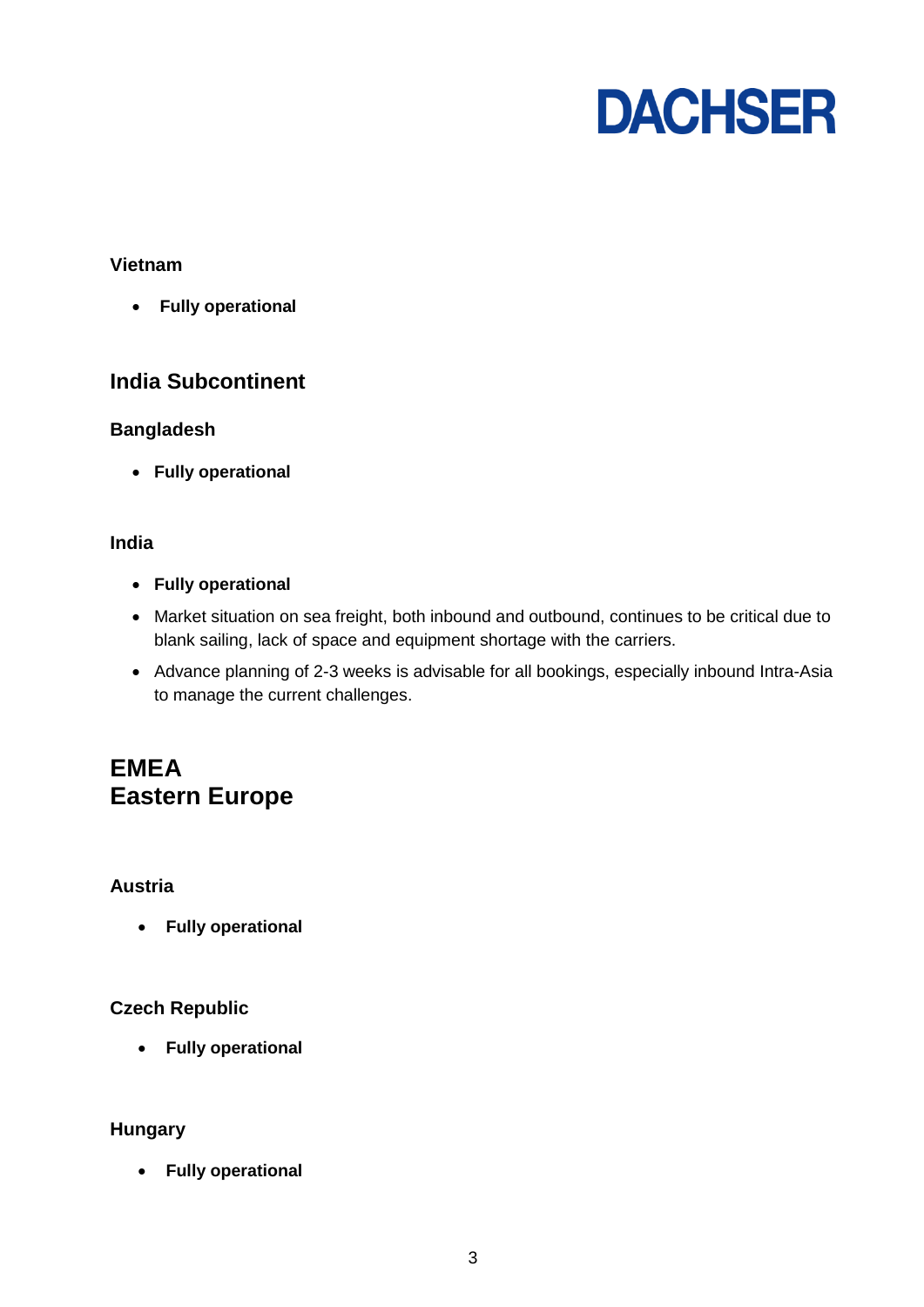

## **Vietnam**

**Fully operational**

## **India Subcontinent**

## <span id="page-2-0"></span>**Bangladesh**

<span id="page-2-1"></span>**Fully operational**

## **India**

- **Fully operational**
- Market situation on sea freight, both inbound and outbound, continues to be critical due to blank sailing, lack of space and equipment shortage with the carriers.
- Advance planning of 2-3 weeks is advisable for all bookings, especially inbound Intra-Asia to manage the current challenges.

# **EMEA Eastern Europe**

## <span id="page-2-2"></span>**Austria**

**Fully operational**

## <span id="page-2-3"></span>**Czech Republic**

**Fully operational**

## <span id="page-2-4"></span>**Hungary**

**Fully operational**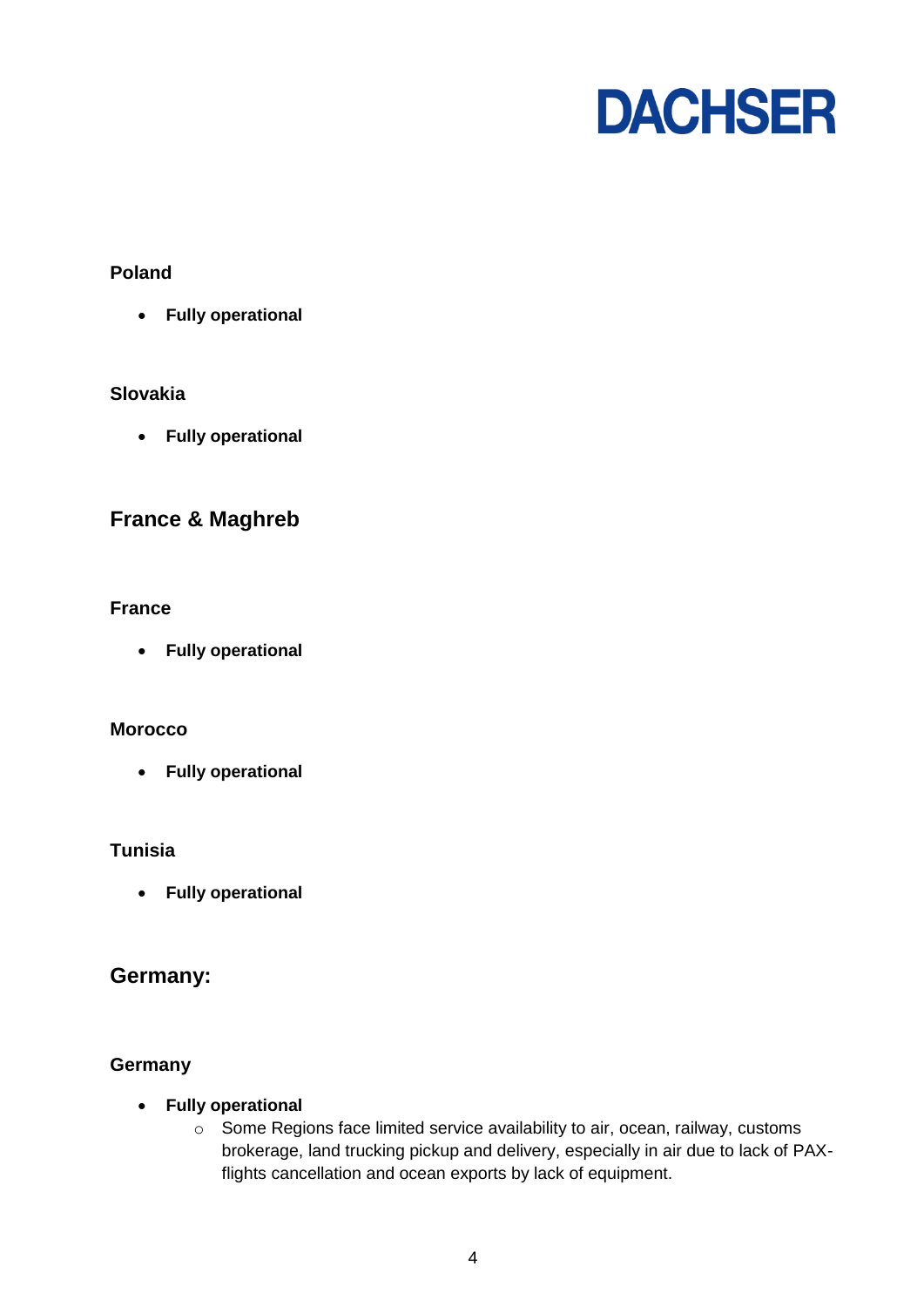

## <span id="page-3-0"></span>**Poland**

**Fully operational**

## <span id="page-3-1"></span>**Slovakia**

**Fully operational**

## **France & Maghreb**

## <span id="page-3-2"></span>**France**

**Fully operational**

### <span id="page-3-3"></span>**Morocco**

**Fully operational**

#### <span id="page-3-4"></span>**Tunisia**

**Fully operational**

## **Germany:**

## <span id="page-3-5"></span>**Germany**

- **Fully operational**
	- o Some Regions face limited service availability to air, ocean, railway, customs brokerage, land trucking pickup and delivery, especially in air due to lack of PAXflights cancellation and ocean exports by lack of equipment.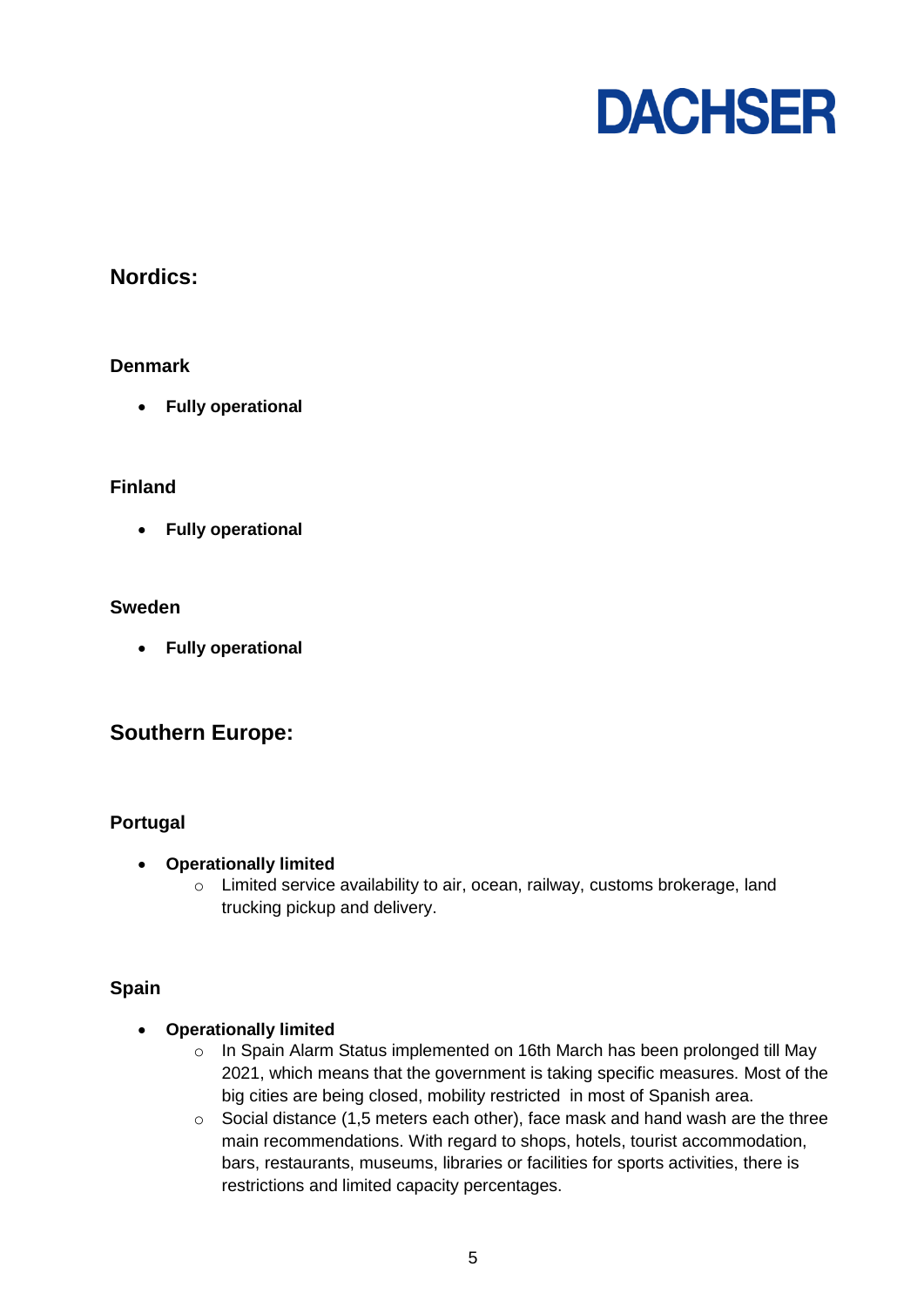

## **Nordics:**

## <span id="page-4-0"></span>**Denmark**

**Fully operational**

### <span id="page-4-1"></span>**Finland**

**Fully operational**

### <span id="page-4-2"></span>**Sweden**

**Fully operational**

## **Southern Europe:**

## <span id="page-4-3"></span>**Portugal**

- **Operationally limited**
	- o Limited service availability to air, ocean, railway, customs brokerage, land trucking pickup and delivery.

#### <span id="page-4-4"></span>**Spain**

#### **Operationally limited**

- o In Spain Alarm Status implemented on 16th March has been prolonged till May 2021, which means that the government is taking specific measures. Most of the big cities are being closed, mobility restricted in most of Spanish area.
- $\circ$  Social distance (1,5 meters each other), face mask and hand wash are the three main recommendations. With regard to shops, hotels, tourist accommodation, bars, restaurants, museums, libraries or facilities for sports activities, there is restrictions and limited capacity percentages.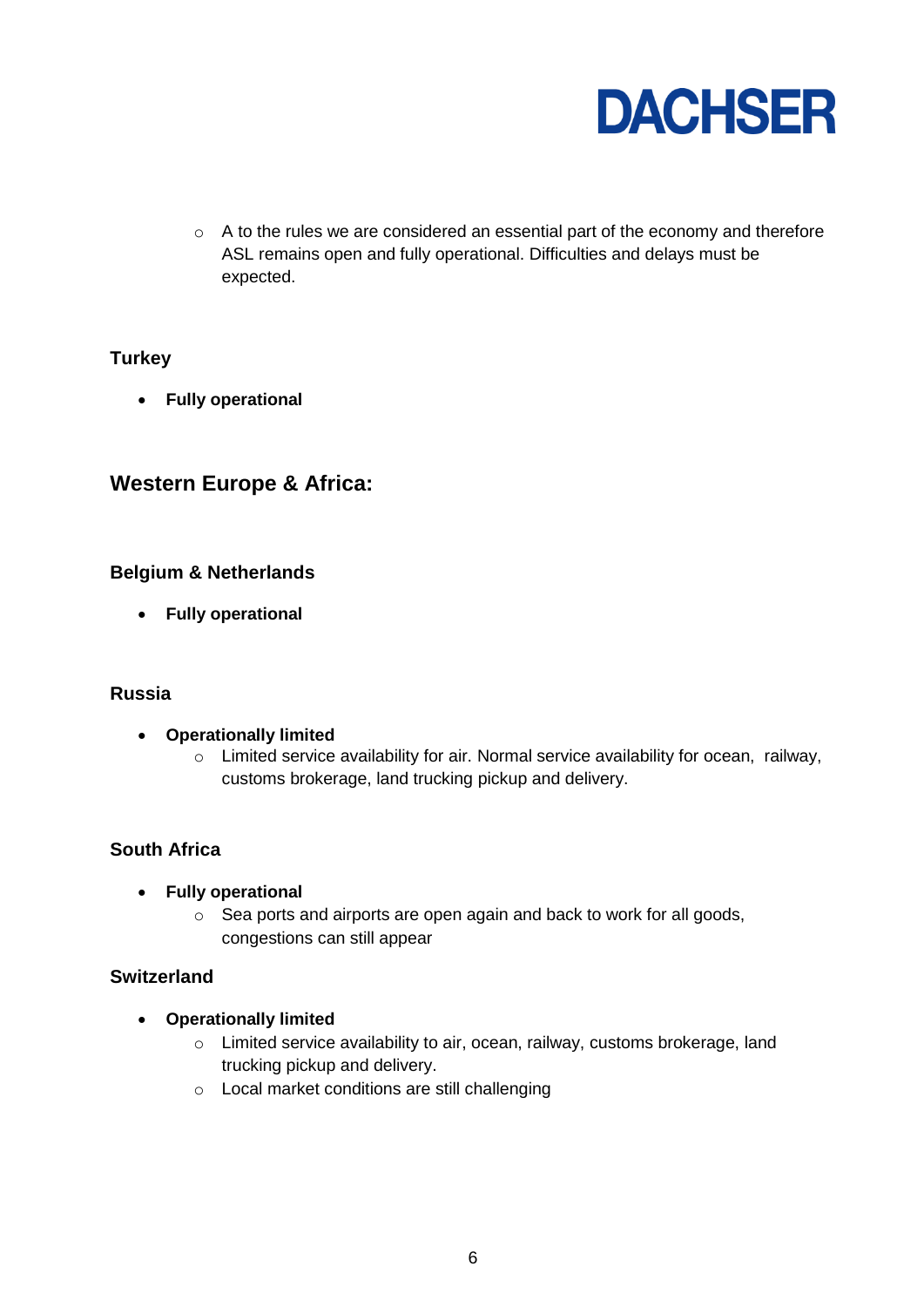

o A to the rules we are considered an essential part of the economy and therefore ASL remains open and fully operational. Difficulties and delays must be expected.

## <span id="page-5-0"></span>**Turkey**

**Fully operational**

# **Western Europe & Africa:**

### <span id="page-5-1"></span>**Belgium & Netherlands**

**Fully operational**

### <span id="page-5-2"></span>**Russia**

- **Operationally limited**
	- o Limited service availability for air. Normal service availability for ocean, railway, customs brokerage, land trucking pickup and delivery.

## <span id="page-5-3"></span>**South Africa**

- **Fully operational**
	- o Sea ports and airports are open again and back to work for all goods, congestions can still appear

#### <span id="page-5-4"></span>**Switzerland**

- **Operationally limited**
	- o Limited service availability to air, ocean, railway, customs brokerage, land trucking pickup and delivery.
	- o Local market conditions are still challenging